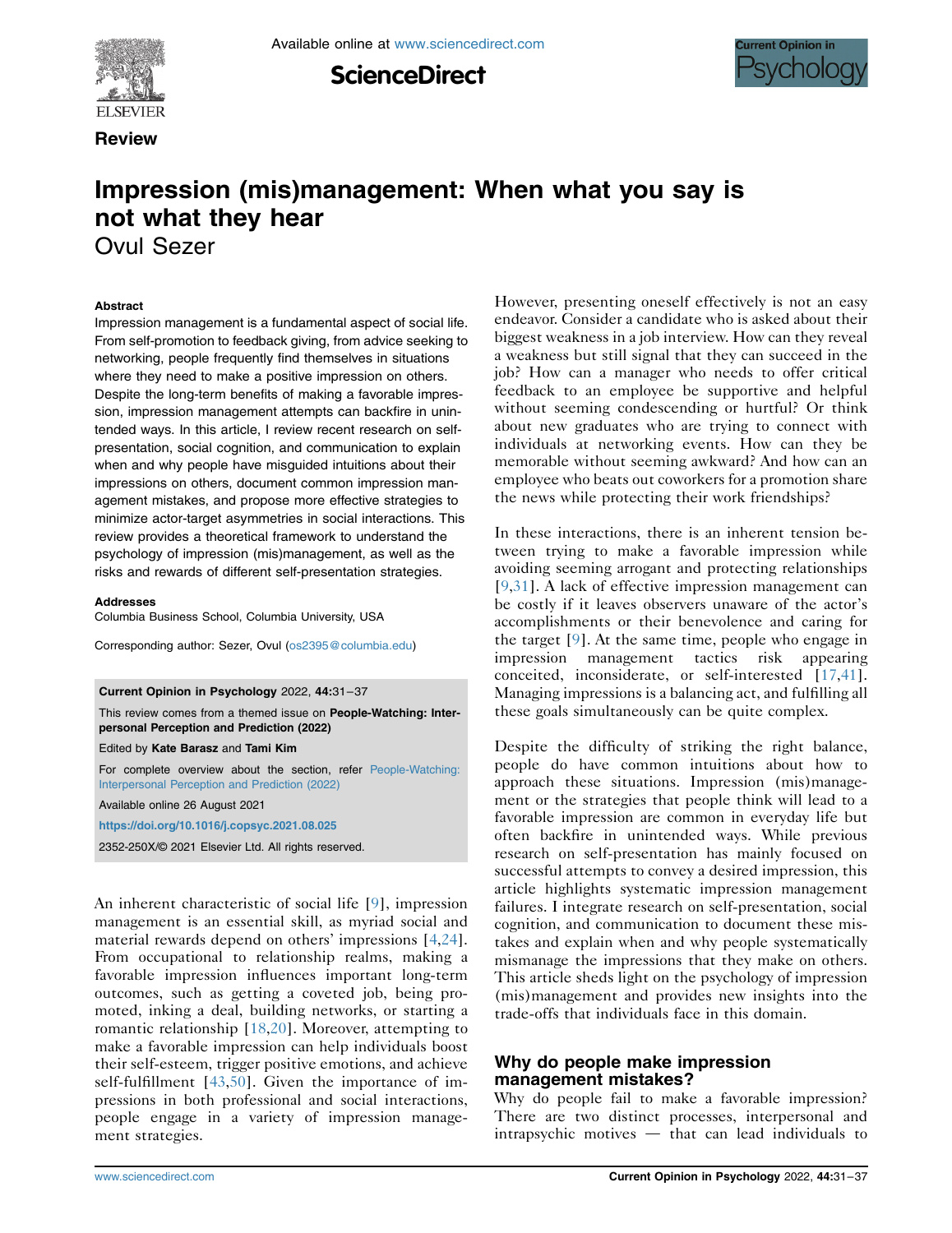

**Review** 





# Impression (mis)management: When what you say is not what they hear

Ovul Sezer

#### Abstract

Impression management is a fundamental aspect of social life. From self-promotion to feedback giving, from advice seeking to networking, people frequently find themselves in situations where they need to make a positive impression on others. Despite the long-term benefits of making a favorable impression, impression management attempts can backfire in unintended ways. In this article, I review recent research on selfpresentation, social cognition, and communication to explain when and why people have misguided intuitions about their impressions on others, document common impression management mistakes, and propose more effective strategies to minimize actor-target asymmetries in social interactions. This review provides a theoretical framework to understand the psychology of impression (mis)management, as well as the risks and rewards of different self-presentation strategies.

#### Addresses

Columbia Business School, Columbia University, USA

Corresponding author: Sezer, Ovul [\(os2395@columbia.edu](mailto:os2395@columbia.edu))

Current Opinion in Psychology 2022, 44:31–37

This review comes from a themed issue on People-Watching: Interpersonal Perception and Prediction (2022)

Edited by Kate Barasz and Tami Kim

For complete overview about the section, refer [People-Watching:](https://www.sciencedirect.com/journal/current-opinion-in-psychology/special-issue/104B8JRM24P) [Interpersonal Perception and Prediction \(2022\)](https://www.sciencedirect.com/journal/current-opinion-in-psychology/special-issue/104B8JRM24P)

Available online 26 August 2021

<https://doi.org/10.1016/j.copsyc.2021.08.025>

2352-250X/© 2021 Elsevier Ltd. All rights reserved.

An inherent characteristic of social life [[9](#page-5-0)], impression management is an essential skill, as myriad social and material rewards depend on others' impressions [\[4](#page-5-1)[,24](#page-5-2)]. From occupational to relationship realms, making a favorable impression influences important long-term outcomes, such as getting a coveted job, being promoted, inking a deal, building networks, or starting a romantic relationship [[18](#page-5-3),[20](#page-5-4)]. Moreover, attempting to make a favorable impression can help individuals boost their self-esteem, trigger positive emotions, and achieve self-fulfillment [[43](#page-6-0),[50](#page-6-1)]. Given the importance of impressions in both professional and social interactions, people engage in a variety of impression management strategies.

However, presenting oneself effectively is not an easy endeavor. Consider a candidate who is asked about their biggest weakness in a job interview. How can they reveal a weakness but still signal that they can succeed in the job? How can a manager who needs to offer critical feedback to an employee be supportive and helpful without seeming condescending or hurtful? Or think about new graduates who are trying to connect with individuals at networking events. How can they be memorable without seeming awkward? And how can an employee who beats out coworkers for a promotion share the news while protecting their work friendships?

In these interactions, there is an inherent tension between trying to make a favorable impression while avoiding seeming arrogant and protecting relationships [\[9,](#page-5-0)[31\]](#page-6-2). A lack of effective impression management can be costly if it leaves observers unaware of the actor's accomplishments or their benevolence and caring for the target [\[9](#page-5-0)]. At the same time, people who engage in impression management tactics risk appearing conceited, inconsiderate, or self-interested [\[17,](#page-5-5)[41\]](#page-6-3). Managing impressions is a balancing act, and fulfilling all these goals simultaneously can be quite complex.

Despite the difficulty of striking the right balance, people do have common intuitions about how to approach these situations. Impression (mis)management or the strategies that people think will lead to a favorable impression are common in everyday life but often backfire in unintended ways. While previous research on self-presentation has mainly focused on successful attempts to convey a desired impression, this article highlights systematic impression management failures. I integrate research on self-presentation, social cognition, and communication to document these mistakes and explain when and why people systematically mismanage the impressions that they make on others. This article sheds light on the psychology of impression (mis)management and provides new insights into the trade-offs that individuals face in this domain.

## Why do people make impression management mistakes?

Why do people fail to make a favorable impression? There are two distinct processes, interpersonal and  $intrapsychie$  motives  $-$  that can lead individuals to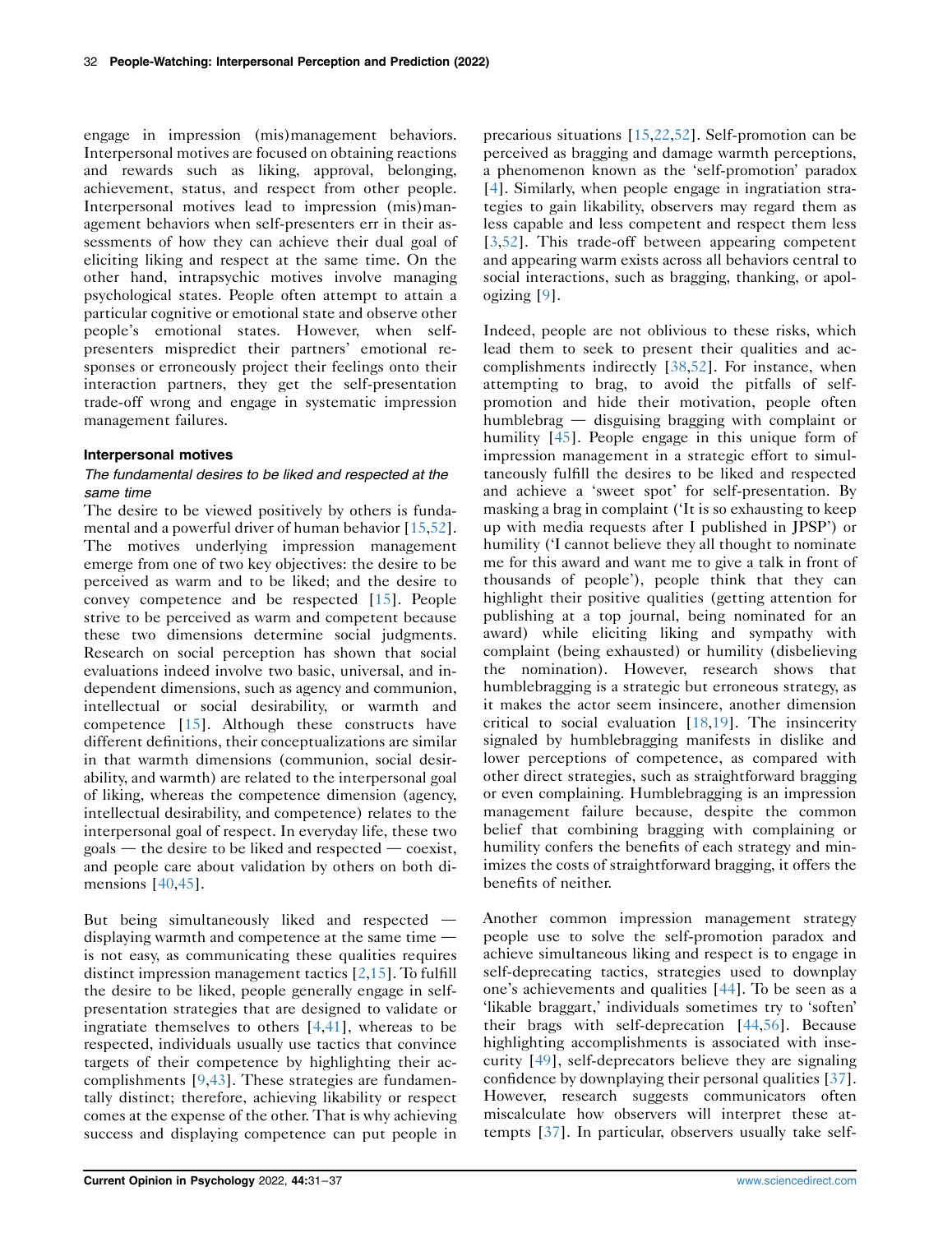engage in impression (mis)management behaviors. Interpersonal motives are focused on obtaining reactions and rewards such as liking, approval, belonging, achievement, status, and respect from other people. Interpersonal motives lead to impression (mis)management behaviors when self-presenters err in their assessments of how they can achieve their dual goal of eliciting liking and respect at the same time. On the other hand, intrapsychic motives involve managing psychological states. People often attempt to attain a particular cognitive or emotional state and observe other people's emotional states. However, when selfpresenters mispredict their partners' emotional responses or erroneously project their feelings onto their interaction partners, they get the self-presentation trade-off wrong and engage in systematic impression management failures.

#### Interpersonal motives

## The fundamental desires to be liked and respected at the same time

The desire to be viewed positively by others is fundamental and a powerful driver of human behavior [[15](#page-5-6),[52](#page-6-4)]. The motives underlying impression management emerge from one of two key objectives: the desire to be perceived as warm and to be liked; and the desire to convey competence and be respected [\[15\]](#page-5-6). People strive to be perceived as warm and competent because these two dimensions determine social judgments. Research on social perception has shown that social evaluations indeed involve two basic, universal, and independent dimensions, such as agency and communion, intellectual or social desirability, or warmth and competence [[15](#page-5-6)]. Although these constructs have different definitions, their conceptualizations are similar in that warmth dimensions (communion, social desirability, and warmth) are related to the interpersonal goal of liking, whereas the competence dimension (agency, intellectual desirability, and competence) relates to the interpersonal goal of respect. In everyday life, these two  $\gamma$  goals — the desire to be liked and respected — coexist, and people care about validation by others on both dimensions [[40](#page-6-5),[45](#page-6-6)].

But being simultaneously liked and respected  $$ displaying warmth and competence at the same time  $$ is not easy, as communicating these qualities requires distinct impression management tactics [\[2,](#page-5-7)[15](#page-5-6)]. To fulfill the desire to be liked, people generally engage in selfpresentation strategies that are designed to validate or ingratiate themselves to others [\[4,](#page-5-1)[41\]](#page-6-3), whereas to be respected, individuals usually use tactics that convince targets of their competence by highlighting their accomplishments [\[9](#page-5-0),[43](#page-6-0)]. These strategies are fundamentally distinct; therefore, achieving likability or respect comes at the expense of the other. That is why achieving success and displaying competence can put people in

precarious situations [[15](#page-5-6),[22](#page-5-8),[52](#page-6-4)]. Self-promotion can be perceived as bragging and damage warmth perceptions, a phenomenon known as the 'self-promotion' paradox [\[4](#page-5-1)]. Similarly, when people engage in ingratiation strategies to gain likability, observers may regard them as less capable and less competent and respect them less [\[3](#page-5-9)[,52](#page-6-4)]. This trade-off between appearing competent and appearing warm exists across all behaviors central to social interactions, such as bragging, thanking, or apologizing [[9](#page-5-0)].

Indeed, people are not oblivious to these risks, which lead them to seek to present their qualities and accomplishments indirectly [[38,](#page-6-7)[52\]](#page-6-4). For instance, when attempting to brag, to avoid the pitfalls of selfpromotion and hide their motivation, people often humblebrag  $-$  disguising bragging with complaint or humility [[45](#page-6-6)]. People engage in this unique form of impression management in a strategic effort to simultaneously fulfill the desires to be liked and respected and achieve a 'sweet spot' for self-presentation. By masking a brag in complaint ('It is so exhausting to keep up with media requests after I published in JPSP') or humility ('I cannot believe they all thought to nominate me for this award and want me to give a talk in front of thousands of people'), people think that they can highlight their positive qualities (getting attention for publishing at a top journal, being nominated for an award) while eliciting liking and sympathy with complaint (being exhausted) or humility (disbelieving the nomination). However, research shows that humblebragging is a strategic but erroneous strategy, as it makes the actor seem insincere, another dimension critical to social evaluation [\[18](#page-5-3)[,19\]](#page-5-10). The insincerity signaled by humblebragging manifests in dislike and lower perceptions of competence, as compared with other direct strategies, such as straightforward bragging or even complaining. Humblebragging is an impression management failure because, despite the common belief that combining bragging with complaining or humility confers the benefits of each strategy and minimizes the costs of straightforward bragging, it offers the benefits of neither.

Another common impression management strategy people use to solve the self-promotion paradox and achieve simultaneous liking and respect is to engage in self-deprecating tactics, strategies used to downplay one's achievements and qualities [[44](#page-6-8)]. To be seen as a 'likable braggart,' individuals sometimes try to 'soften' their brags with self-deprecation [\[44,](#page-6-8)[56\]](#page-6-9). Because highlighting accomplishments is associated with insecurity [\[49\]](#page-6-10), self-deprecators believe they are signaling confidence by downplaying their personal qualities [\[37\]](#page-6-11). However, research suggests communicators often miscalculate how observers will interpret these attempts [\[37](#page-6-11)]. In particular, observers usually take self-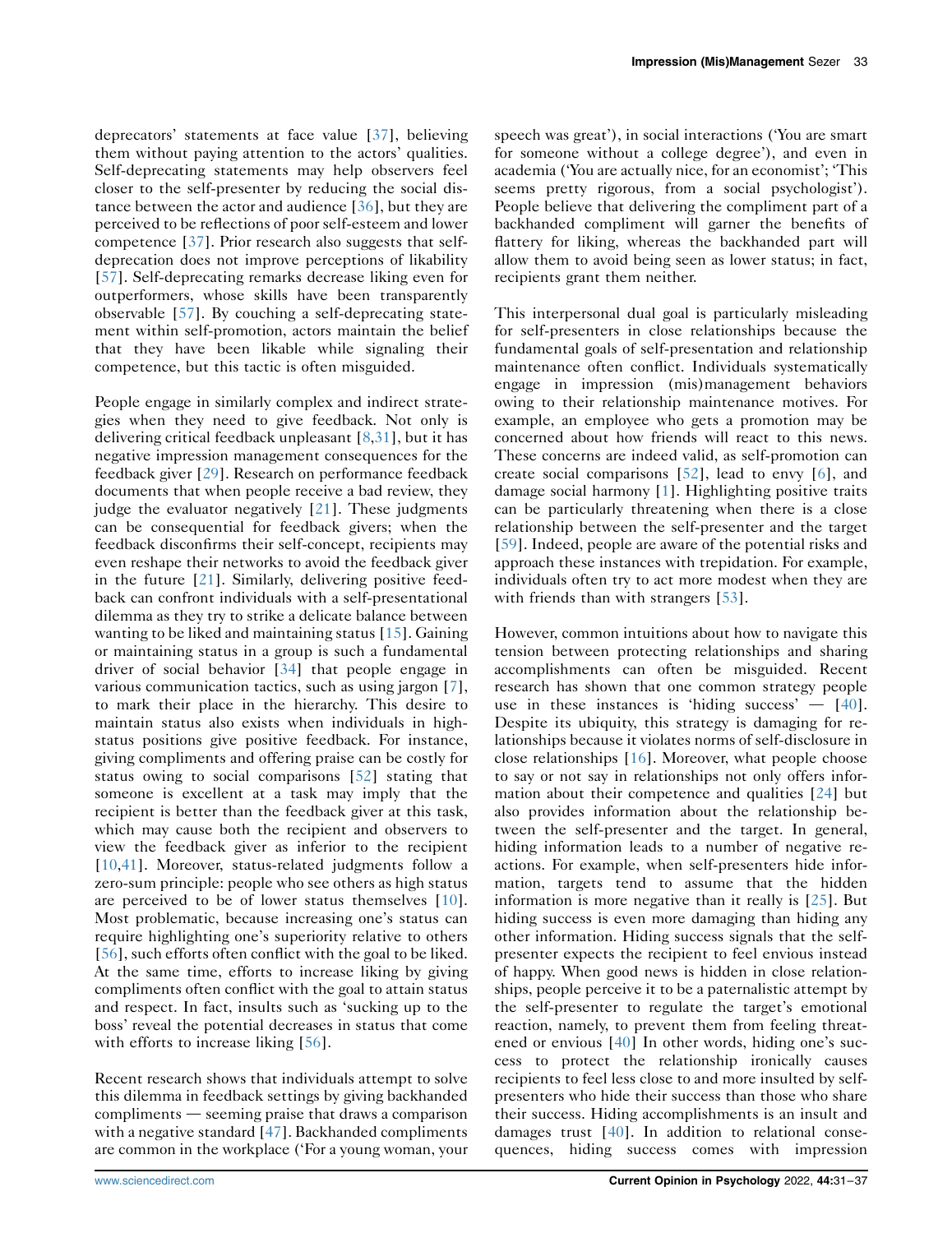deprecators' statements at face value [[37\]](#page-6-11), believing them without paying attention to the actors' qualities. Self-deprecating statements may help observers feel closer to the self-presenter by reducing the social distance between the actor and audience [\[36](#page-6-12)], but they are perceived to be reflections of poor self-esteem and lower competence [\[37](#page-6-11)]. Prior research also suggests that selfdeprecation does not improve perceptions of likability [\[57\]](#page-6-13). Self-deprecating remarks decrease liking even for outperformers, whose skills have been transparently observable [[57](#page-6-13)]. By couching a self-deprecating statement within self-promotion, actors maintain the belief that they have been likable while signaling their competence, but this tactic is often misguided.

People engage in similarly complex and indirect strategies when they need to give feedback. Not only is delivering critical feedback unpleasant [\[8](#page-5-11)[,31](#page-6-2)], but it has negative impression management consequences for the feedback giver [[29\]](#page-5-12). Research on performance feedback documents that when people receive a bad review, they judge the evaluator negatively [[21](#page-5-13)]. These judgments can be consequential for feedback givers; when the feedback disconfirms their self-concept, recipients may even reshape their networks to avoid the feedback giver in the future [[21](#page-5-13)]. Similarly, delivering positive feedback can confront individuals with a self-presentational dilemma as they try to strike a delicate balance between wanting to be liked and maintaining status [\[15](#page-5-6)]. Gaining or maintaining status in a group is such a fundamental driver of social behavior [\[34\]](#page-6-14) that people engage in various communication tactics, such as using jargon [\[7](#page-5-14)], to mark their place in the hierarchy. This desire to maintain status also exists when individuals in highstatus positions give positive feedback. For instance, giving compliments and offering praise can be costly for status owing to social comparisons [[52](#page-6-4)] stating that someone is excellent at a task may imply that the recipient is better than the feedback giver at this task, which may cause both the recipient and observers to view the feedback giver as inferior to the recipient [\[10,](#page-5-15)[41](#page-6-3)]. Moreover, status-related judgments follow a zero-sum principle: people who see others as high status are perceived to be of lower status themselves [[10](#page-5-15)]. Most problematic, because increasing one's status can require highlighting one's superiority relative to others [\[56\]](#page-6-9), such efforts often conflict with the goal to be liked. At the same time, efforts to increase liking by giving compliments often conflict with the goal to attain status and respect. In fact, insults such as 'sucking up to the boss' reveal the potential decreases in status that come with efforts to increase liking [\[56\]](#page-6-9).

Recent research shows that individuals attempt to solve this dilemma in feedback settings by giving backhanded  $compliments$   $-$  seeming praise that draws a comparison with a negative standard [[47](#page-6-15)]. Backhanded compliments are common in the workplace ('For a young woman, your

speech was great'), in social interactions ('You are smart for someone without a college degree'), and even in academia ('You are actually nice, for an economist'; 'This seems pretty rigorous, from a social psychologist'). People believe that delivering the compliment part of a backhanded compliment will garner the benefits of flattery for liking, whereas the backhanded part will allow them to avoid being seen as lower status; in fact, recipients grant them neither.

This interpersonal dual goal is particularly misleading for self-presenters in close relationships because the fundamental goals of self-presentation and relationship maintenance often conflict. Individuals systematically engage in impression (mis)management behaviors owing to their relationship maintenance motives. For example, an employee who gets a promotion may be concerned about how friends will react to this news. These concerns are indeed valid, as self-promotion can create social comparisons [\[52\]](#page-6-4), lead to envy [\[6](#page-5-16)], and damage social harmony [[1\]](#page-5-17). Highlighting positive traits can be particularly threatening when there is a close relationship between the self-presenter and the target [\[59\]](#page-6-16). Indeed, people are aware of the potential risks and approach these instances with trepidation. For example, individuals often try to act more modest when they are with friends than with strangers [[53\]](#page-6-17).

However, common intuitions about how to navigate this tension between protecting relationships and sharing accomplishments can often be misguided. Recent research has shown that one common strategy people use in these instances is 'hiding success'  $-$  [\[40\]](#page-6-5). Despite its ubiquity, this strategy is damaging for relationships because it violates norms of self-disclosure in close relationships [[16\]](#page-5-18). Moreover, what people choose to say or not say in relationships not only offers information about their competence and qualities [\[24\]](#page-5-2) but also provides information about the relationship between the self-presenter and the target. In general, hiding information leads to a number of negative reactions. For example, when self-presenters hide information, targets tend to assume that the hidden information is more negative than it really is [[25](#page-5-19)]. But hiding success is even more damaging than hiding any other information. Hiding success signals that the selfpresenter expects the recipient to feel envious instead of happy. When good news is hidden in close relationships, people perceive it to be a paternalistic attempt by the self-presenter to regulate the target's emotional reaction, namely, to prevent them from feeling threatened or envious [\[40\]](#page-6-5) In other words, hiding one's success to protect the relationship ironically causes recipients to feel less close to and more insulted by selfpresenters who hide their success than those who share their success. Hiding accomplishments is an insult and damages trust [\[40\]](#page-6-5). In addition to relational consequences, hiding success comes with impression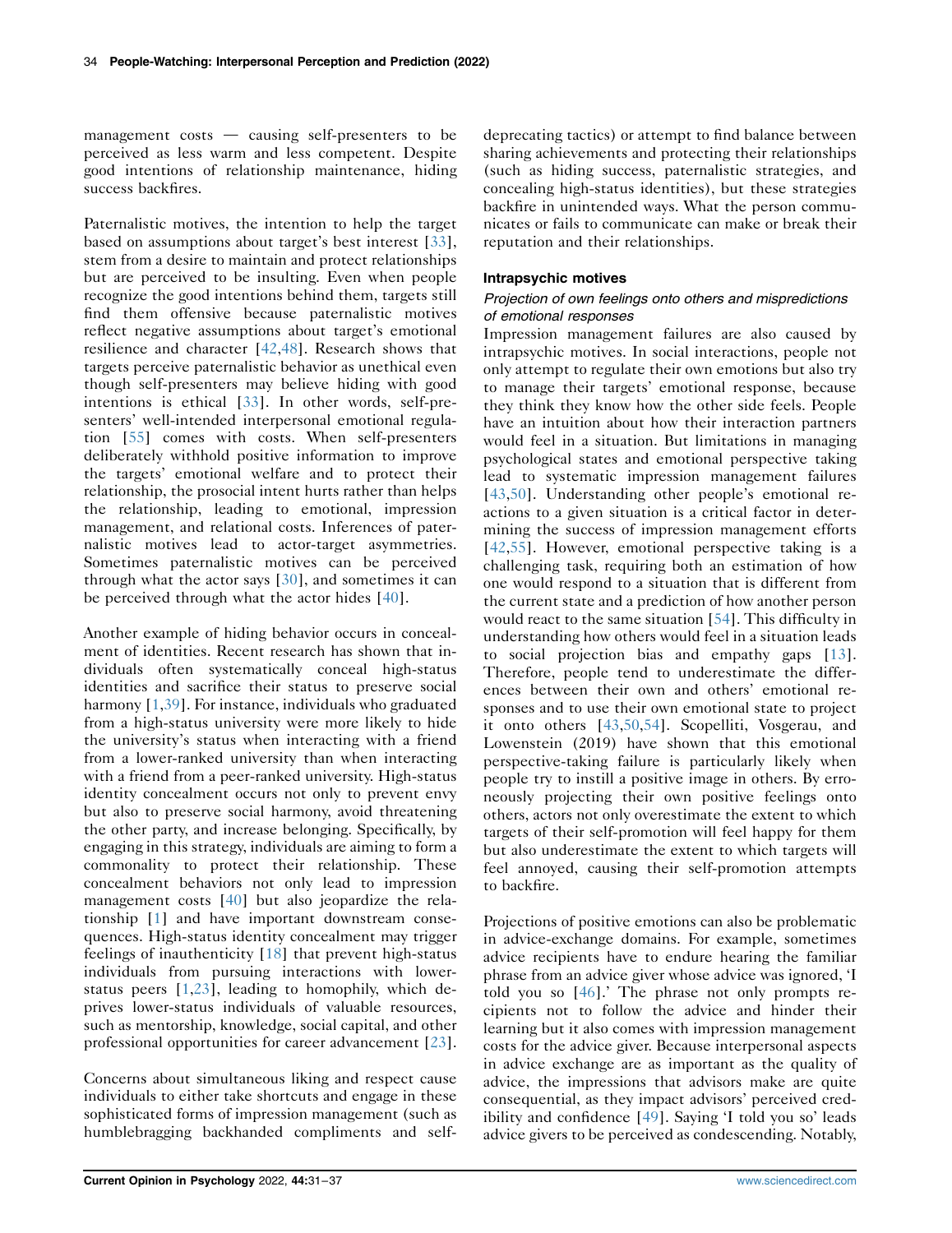management costs  $\frac{1}{x}$  causing self-presenters to be perceived as less warm and less competent. Despite good intentions of relationship maintenance, hiding success backfires.

Paternalistic motives, the intention to help the target based on assumptions about target's best interest [[33](#page-6-18)], stem from a desire to maintain and protect relationships but are perceived to be insulting. Even when people recognize the good intentions behind them, targets still find them offensive because paternalistic motives reflect negative assumptions about target's emotional resilience and character [\[42](#page-6-19)[,48](#page-6-20)]. Research shows that targets perceive paternalistic behavior as unethical even though self-presenters may believe hiding with good intentions is ethical [\[33\]](#page-6-18). In other words, self-presenters' well-intended interpersonal emotional regulation [[55](#page-6-21)] comes with costs. When self-presenters deliberately withhold positive information to improve the targets' emotional welfare and to protect their relationship, the prosocial intent hurts rather than helps the relationship, leading to emotional, impression management, and relational costs. Inferences of paternalistic motives lead to actor-target asymmetries. Sometimes paternalistic motives can be perceived through what the actor says [\[30\]](#page-6-22), and sometimes it can be perceived through what the actor hides [\[40\]](#page-6-5).

Another example of hiding behavior occurs in concealment of identities. Recent research has shown that individuals often systematically conceal high-status identities and sacrifice their status to preserve social harmony [[1](#page-5-17)[,39\]](#page-6-23). For instance, individuals who graduated from a high-status university were more likely to hide the university's status when interacting with a friend from a lower-ranked university than when interacting with a friend from a peer-ranked university. High-status identity concealment occurs not only to prevent envy but also to preserve social harmony, avoid threatening the other party, and increase belonging. Specifically, by engaging in this strategy, individuals are aiming to form a commonality to protect their relationship. These concealment behaviors not only lead to impression management costs [\[40\]](#page-6-5) but also jeopardize the relationship [[1\]](#page-5-17) and have important downstream consequences. High-status identity concealment may trigger feelings of inauthenticity [[18](#page-5-3)] that prevent high-status individuals from pursuing interactions with lowerstatus peers [[1](#page-5-17),[23](#page-5-20)], leading to homophily, which deprives lower-status individuals of valuable resources, such as mentorship, knowledge, social capital, and other professional opportunities for career advancement [[23](#page-5-20)].

Concerns about simultaneous liking and respect cause individuals to either take shortcuts and engage in these sophisticated forms of impression management (such as humblebragging backhanded compliments and selfdeprecating tactics) or attempt to find balance between sharing achievements and protecting their relationships (such as hiding success, paternalistic strategies, and concealing high-status identities), but these strategies backfire in unintended ways. What the person communicates or fails to communicate can make or break their reputation and their relationships.

#### Intrapsychic motives

### Projection of own feelings onto others and mispredictions of emotional responses

Impression management failures are also caused by intrapsychic motives. In social interactions, people not only attempt to regulate their own emotions but also try to manage their targets' emotional response, because they think they know how the other side feels. People have an intuition about how their interaction partners would feel in a situation. But limitations in managing psychological states and emotional perspective taking lead to systematic impression management failures [\[43,](#page-6-0)[50\]](#page-6-1). Understanding other people's emotional reactions to a given situation is a critical factor in determining the success of impression management efforts [\[42,](#page-6-19)[55\]](#page-6-21). However, emotional perspective taking is a challenging task, requiring both an estimation of how one would respond to a situation that is different from the current state and a prediction of how another person would react to the same situation [\[54\]](#page-6-24). This difficulty in understanding how others would feel in a situation leads to social projection bias and empathy gaps [\[13\]](#page-5-21). Therefore, people tend to underestimate the differences between their own and others' emotional responses and to use their own emotional state to project it onto others [\[43](#page-6-0)[,50,](#page-6-1)[54\]](#page-6-24). Scopelliti, Vosgerau, and Lowenstein (2019) have shown that this emotional perspective-taking failure is particularly likely when people try to instill a positive image in others. By erroneously projecting their own positive feelings onto others, actors not only overestimate the extent to which targets of their self-promotion will feel happy for them but also underestimate the extent to which targets will feel annoyed, causing their self-promotion attempts to backfire.

Projections of positive emotions can also be problematic in advice-exchange domains. For example, sometimes advice recipients have to endure hearing the familiar phrase from an advice giver whose advice was ignored, 'I told you so [[46](#page-6-25)].' The phrase not only prompts recipients not to follow the advice and hinder their learning but it also comes with impression management costs for the advice giver. Because interpersonal aspects in advice exchange are as important as the quality of advice, the impressions that advisors make are quite consequential, as they impact advisors' perceived credibility and confidence [[49\]](#page-6-10). Saying 'I told you so' leads advice givers to be perceived as condescending. Notably,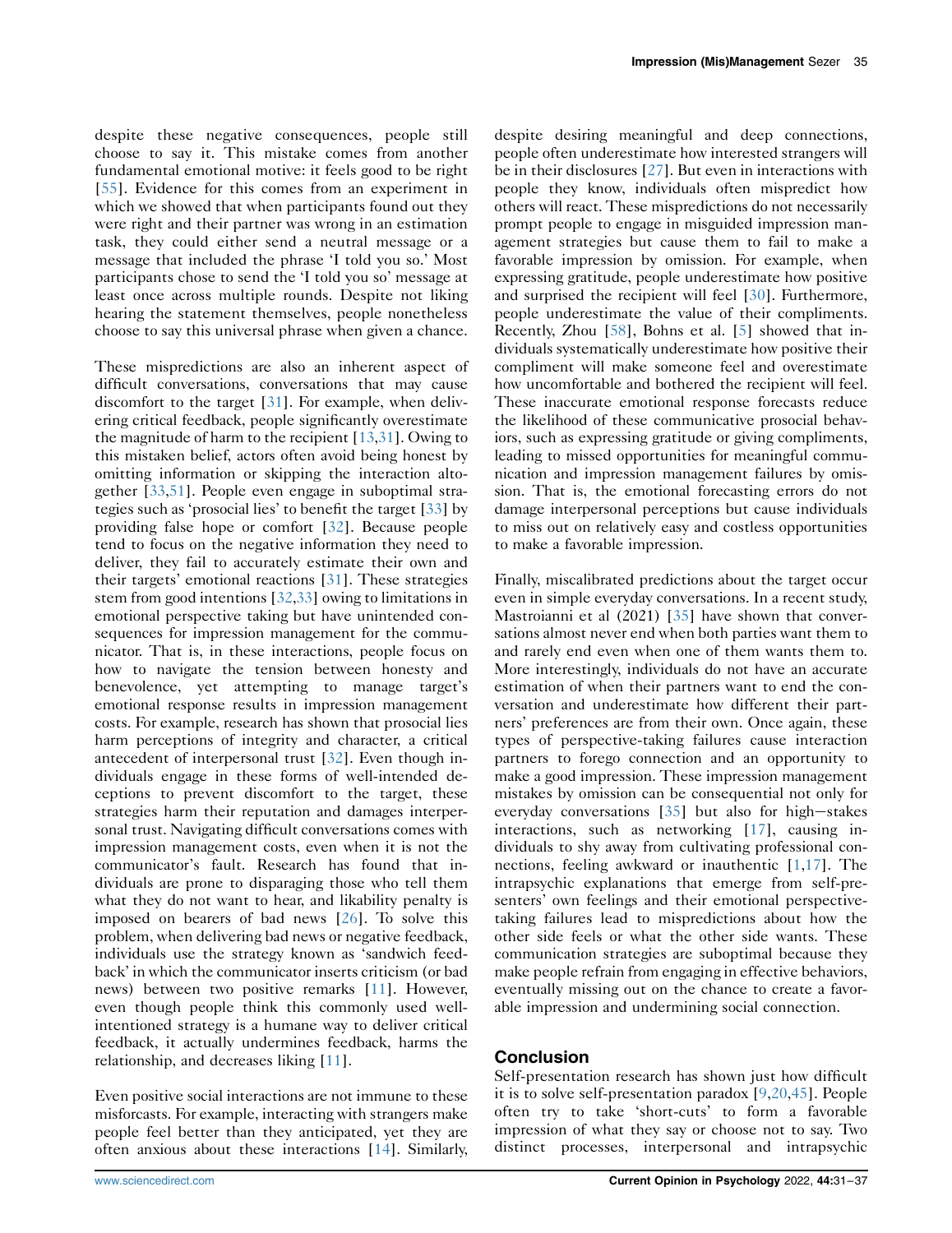despite these negative consequences, people still choose to say it. This mistake comes from another fundamental emotional motive: it feels good to be right [\[55\]](#page-6-21). Evidence for this comes from an experiment in which we showed that when participants found out they were right and their partner was wrong in an estimation task, they could either send a neutral message or a message that included the phrase 'I told you so.' Most participants chose to send the 'I told you so' message at least once across multiple rounds. Despite not liking hearing the statement themselves, people nonetheless choose to say this universal phrase when given a chance.

These mispredictions are also an inherent aspect of difficult conversations, conversations that may cause discomfort to the target [[31\]](#page-6-2). For example, when delivering critical feedback, people significantly overestimate the magnitude of harm to the recipient  $[13,31]$  $[13,31]$  $[13,31]$ . Owing to this mistaken belief, actors often avoid being honest by omitting information or skipping the interaction altogether [\[33](#page-6-18)[,51](#page-6-26)]. People even engage in suboptimal strategies such as 'prosocial lies' to benefit the target [\[33](#page-6-18)] by providing false hope or comfort [\[32](#page-6-27)]. Because people tend to focus on the negative information they need to deliver, they fail to accurately estimate their own and their targets' emotional reactions [\[31](#page-6-2)]. These strategies stem from good intentions [\[32](#page-6-27),[33\]](#page-6-18) owing to limitations in emotional perspective taking but have unintended consequences for impression management for the communicator. That is, in these interactions, people focus on how to navigate the tension between honesty and benevolence, yet attempting to manage target's emotional response results in impression management costs. For example, research has shown that prosocial lies harm perceptions of integrity and character, a critical antecedent of interpersonal trust [[32\]](#page-6-27). Even though individuals engage in these forms of well-intended deceptions to prevent discomfort to the target, these strategies harm their reputation and damages interpersonal trust. Navigating difficult conversations comes with impression management costs, even when it is not the communicator's fault. Research has found that individuals are prone to disparaging those who tell them what they do not want to hear, and likability penalty is imposed on bearers of bad news [[26\]](#page-5-22). To solve this problem, when delivering bad news or negative feedback, individuals use the strategy known as 'sandwich feedback' in which the communicator inserts criticism (or bad news) between two positive remarks [\[11\]](#page-5-23). However, even though people think this commonly used wellintentioned strategy is a humane way to deliver critical feedback, it actually undermines feedback, harms the relationship, and decreases liking [[11\]](#page-5-23).

Even positive social interactions are not immune to these misforcasts. For example, interacting with strangers make people feel better than they anticipated, yet they are often anxious about these interactions [[14\]](#page-5-24). Similarly,

despite desiring meaningful and deep connections, people often underestimate how interested strangers will be in their disclosures [[27](#page-5-25)]. But even in interactions with people they know, individuals often mispredict how others will react. These mispredictions do not necessarily prompt people to engage in misguided impression management strategies but cause them to fail to make a favorable impression by omission. For example, when expressing gratitude, people underestimate how positive and surprised the recipient will feel [\[30](#page-6-22)]. Furthermore, people underestimate the value of their compliments. Recently, Zhou [[58\]](#page-6-28), Bohns et al. [\[5](#page-5-26)] showed that individuals systematically underestimate how positive their compliment will make someone feel and overestimate how uncomfortable and bothered the recipient will feel. These inaccurate emotional response forecasts reduce the likelihood of these communicative prosocial behaviors, such as expressing gratitude or giving compliments, leading to missed opportunities for meaningful communication and impression management failures by omission. That is, the emotional forecasting errors do not damage interpersonal perceptions but cause individuals to miss out on relatively easy and costless opportunities to make a favorable impression.

Finally, miscalibrated predictions about the target occur even in simple everyday conversations. In a recent study, Mastroianni et al (2021) [\[35](#page-6-29)] have shown that conversations almost never end when both parties want them to and rarely end even when one of them wants them to. More interestingly, individuals do not have an accurate estimation of when their partners want to end the conversation and underestimate how different their partners' preferences are from their own. Once again, these types of perspective-taking failures cause interaction partners to forego connection and an opportunity to make a good impression. These impression management mistakes by omission can be consequential not only for everyday conversations  $[35]$  $[35]$  $[35]$  but also for high-stakes interactions, such as networking [[17\]](#page-5-5), causing individuals to shy away from cultivating professional connections, feeling awkward or inauthentic [\[1,](#page-5-17)[17](#page-5-5)]. The intrapsychic explanations that emerge from self-presenters' own feelings and their emotional perspectivetaking failures lead to mispredictions about how the other side feels or what the other side wants. These communication strategies are suboptimal because they make people refrain from engaging in effective behaviors, eventually missing out on the chance to create a favorable impression and undermining social connection.

## Conclusion

Self-presentation research has shown just how difficult it is to solve self-presentation paradox [[9](#page-5-0)[,20,](#page-5-4)[45\]](#page-6-6). People often try to take 'short-cuts' to form a favorable impression of what they say or choose not to say. Two distinct processes, interpersonal and intrapsychic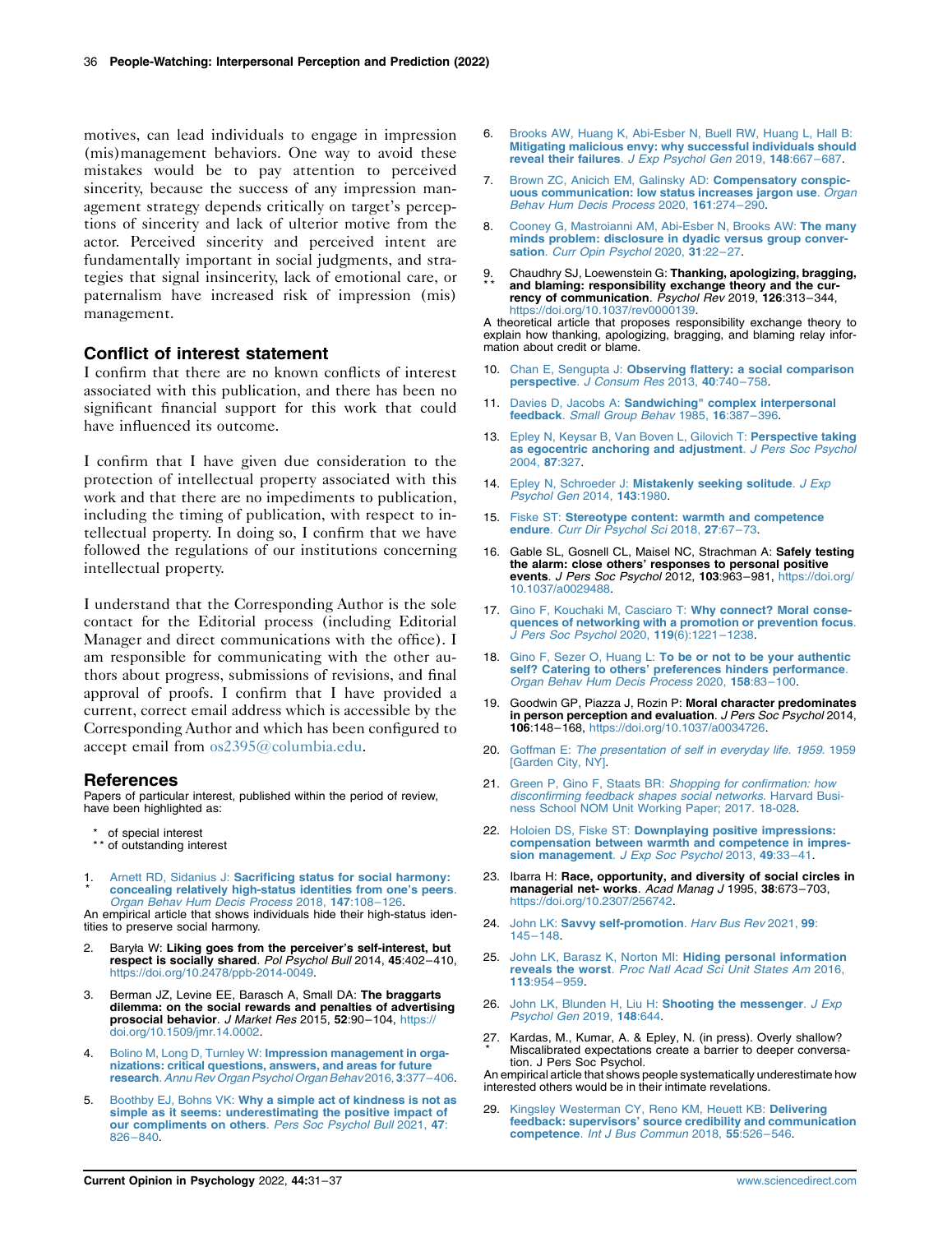motives, can lead individuals to engage in impression (mis)management behaviors. One way to avoid these mistakes would be to pay attention to perceived sincerity, because the success of any impression management strategy depends critically on target's perceptions of sincerity and lack of ulterior motive from the actor. Perceived sincerity and perceived intent are fundamentally important in social judgments, and strategies that signal insincerity, lack of emotional care, or paternalism have increased risk of impression (mis) management.

## Conflict of interest statement

I confirm that there are no known conflicts of interest associated with this publication, and there has been no significant financial support for this work that could have influenced its outcome.

I confirm that I have given due consideration to the protection of intellectual property associated with this work and that there are no impediments to publication, including the timing of publication, with respect to intellectual property. In doing so, I confirm that we have followed the regulations of our institutions concerning intellectual property.

I understand that the Corresponding Author is the sole contact for the Editorial process (including Editorial Manager and direct communications with the office). I am responsible for communicating with the other authors about progress, submissions of revisions, and final approval of proofs. I confirm that I have provided a current, correct email address which is accessible by the Corresponding Author and which has been configured to accept email from [os2395@columbia.edu](mailto:os2395@columbia.edu).

#### References

Papers of particular interest, published within the period of review, have been highlighted as:

- of special interest
- \*\* of outstanding interest
- <span id="page-5-17"></span>1 \* Arnett RD, Sidanius J: [Sacrificing status for social harmony:](http://refhub.elsevier.com/S2352-250X(21)00158-5/sref1) [concealing relatively high-status identities from one](http://refhub.elsevier.com/S2352-250X(21)00158-5/sref1)'s peers. [Organ Behav Hum Decis Process](http://refhub.elsevier.com/S2352-250X(21)00158-5/sref1) 2018, 147:108–126.

An empirical article that shows individuals hide their high-status identities to preserve social harmony.

- <span id="page-5-7"></span>2. Baryła W: Liking goes from the perceiver's self-interest, but respect is socially shared. Pol Psychol Bull 2014, 45:402–410, [https://doi.org/10.2478/ppb-2014-0049.](https://doi.org/10.2478/ppb-2014-0049)
- <span id="page-5-9"></span>3. Berman JZ, Levine EE, Barasch A, Small DA: The braggarts dilemma: on the social rewards and penalties of advertising prosocial behavior. J Market Res 2015, 52:90–104, [https://](https://doi.org/10.1509/jmr.14.0002) [doi.org/10.1509/jmr.14.0002.](https://doi.org/10.1509/jmr.14.0002)
- <span id="page-5-1"></span>4. Bolino M, Long D, Turnley W: [Impression management in orga](http://refhub.elsevier.com/S2352-250X(21)00158-5/sref4)[nizations: critical questions, answers, and areas for future](http://refhub.elsevier.com/S2352-250X(21)00158-5/sref4) research.[Annu Rev Organ Psychol Organ Behav](http://refhub.elsevier.com/S2352-250X(21)00158-5/sref4) 2016, 3:377–406.
- <span id="page-5-26"></span>5. Boothby EJ, Bohns VK: [Why a simple act of kindness is not as](http://refhub.elsevier.com/S2352-250X(21)00158-5/sref5) [simple as it seems: underestimating the positive impact of](http://refhub.elsevier.com/S2352-250X(21)00158-5/sref5) [our compliments on others](http://refhub.elsevier.com/S2352-250X(21)00158-5/sref5). Pers Soc Psychol Bull 2021, 47: 826–[840](http://refhub.elsevier.com/S2352-250X(21)00158-5/sref5).
- <span id="page-5-16"></span>6. [Brooks AW, Huang K, Abi-Esber N, Buell RW, Huang L, Hall B:](http://refhub.elsevier.com/S2352-250X(21)00158-5/sref6) [Mitigating malicious envy: why successful individuals should](http://refhub.elsevier.com/S2352-250X(21)00158-5/sref6) [reveal their failures](http://refhub.elsevier.com/S2352-250X(21)00158-5/sref6). J Exp Psychol Gen 2019, 148:667–687.
- <span id="page-5-14"></span>7. [Brown ZC, Anicich EM, Galinsky AD:](http://refhub.elsevier.com/S2352-250X(21)00158-5/sref7) Compensatory conspic[uous communication: low status increases jargon use](http://refhub.elsevier.com/S2352-250X(21)00158-5/sref7). Organ [Behav Hum Decis Process](http://refhub.elsevier.com/S2352-250X(21)00158-5/sref7) 2020, 161:274–290.
- <span id="page-5-11"></span>8. [Cooney G, Mastroianni AM, Abi-Esber N, Brooks AW:](http://refhub.elsevier.com/S2352-250X(21)00158-5/sref8) The many [minds problem: disclosure in dyadic versus group conver-](http://refhub.elsevier.com/S2352-250X(21)00158-5/sref8)sation. [Curr Opin Psychol](http://refhub.elsevier.com/S2352-250X(21)00158-5/sref8) 2020, 31:22-27.
- <span id="page-5-0"></span>9 \* \* . Chaudhry SJ, Loewenstein G: Thanking, apologizing, bragging, and blaming: responsibility exchange theory and the currency of communication. Psychol Rev 2019, 126:313-344, <https://doi.org/10.1037/rev0000139>.

A theoretical article that proposes responsibility exchange theory to explain how thanking, apologizing, bragging, and blaming relay information about credit or blame.

- <span id="page-5-15"></span>10. Chan E, Sengupta J: [Observing flattery: a social comparison](http://refhub.elsevier.com/S2352-250X(21)00158-5/sref10) perspective. [J Consum Res](http://refhub.elsevier.com/S2352-250X(21)00158-5/sref10) 2013, 40:740–758.
- <span id="page-5-23"></span>11. Davies D, Jacobs A: [Sandwiching" complex interpersonal](http://refhub.elsevier.com/S2352-250X(21)00158-5/sref11) feedback. [Small Group Behav](http://refhub.elsevier.com/S2352-250X(21)00158-5/sref11) 1985, 16:387-396.
- <span id="page-5-21"></span>13. [Epley N, Keysar B, Van Boven L, Gilovich T:](http://refhub.elsevier.com/S2352-250X(21)00158-5/sref13) Perspective taking [as egocentric anchoring and adjustment](http://refhub.elsevier.com/S2352-250X(21)00158-5/sref13). J Pers Soc Psychol [2004,](http://refhub.elsevier.com/S2352-250X(21)00158-5/sref13) 87:327.
- <span id="page-5-24"></span>14. Epley N, Schroeder J: [Mistakenly seeking solitude](http://refhub.elsevier.com/S2352-250X(21)00158-5/sref14). J Exp [Psychol Gen](http://refhub.elsevier.com/S2352-250X(21)00158-5/sref14) 2014, 143:1980.
- <span id="page-5-6"></span>15. Fiske ST: [Stereotype content: warmth and competence](http://refhub.elsevier.com/S2352-250X(21)00158-5/sref15) endure. [Curr Dir Psychol Sci](http://refhub.elsevier.com/S2352-250X(21)00158-5/sref15) 2018, 27:67-73.
- <span id="page-5-18"></span>16. Gable SL, Gosnell CL, Maisel NC, Strachman A: Safely testing the alarm: close others' responses to personal positive events. J Pers Soc Psychol 2012, 103:963–981, [https://doi.org/](https://doi.org/10.1037/a0029488) [10.1037/a0029488.](https://doi.org/10.1037/a0029488)
- <span id="page-5-5"></span>17. [Gino F, Kouchaki M, Casciaro T:](http://refhub.elsevier.com/S2352-250X(21)00158-5/sref17) Why connect? Moral conse[quences of networking with a promotion or prevention focus](http://refhub.elsevier.com/S2352-250X(21)00158-5/sref17). [J Pers Soc Psychol](http://refhub.elsevier.com/S2352-250X(21)00158-5/sref17) 2020, 119(6):1221–1238.
- <span id="page-5-3"></span>18. Gino F, Sezer O, Huang L: [To be or not to be your authentic](http://refhub.elsevier.com/S2352-250X(21)00158-5/sref18) self? Catering to others' [preferences hinders performance](http://refhub.elsevier.com/S2352-250X(21)00158-5/sref18).<br>[Organ Behav Hum Decis Process](http://refhub.elsevier.com/S2352-250X(21)00158-5/sref18) 2020, 158:83-100.
- <span id="page-5-10"></span>19. Goodwin GP, Piazza J, Rozin P: Moral character predominates in person perception and evaluation. J Pers Soc Psychol 2014, 106:148–168, <https://doi.org/10.1037/a0034726>.
- <span id="page-5-4"></span>20. Goffman E: [The presentation of self in everyday life. 1959](http://refhub.elsevier.com/S2352-250X(21)00158-5/sref20). 1959 [\[Garden City, NY\].](http://refhub.elsevier.com/S2352-250X(21)00158-5/sref20)
- <span id="page-5-13"></span>21. Green P, Gino F, Staats BR: [Shopping for confirmation: how](http://refhub.elsevier.com/S2352-250X(21)00158-5/sref21) [disconfirming feedback shapes social networks](http://refhub.elsevier.com/S2352-250X(21)00158-5/sref21). Harvard Busi[ness School NOM Unit Working Paper; 2017. 18-028](http://refhub.elsevier.com/S2352-250X(21)00158-5/sref21).
- <span id="page-5-8"></span>22. Holoien DS, Fiske ST: [Downplaying positive impressions:](http://refhub.elsevier.com/S2352-250X(21)00158-5/sref22) [compensation between warmth and competence in impres](http://refhub.elsevier.com/S2352-250X(21)00158-5/sref22)[sion management](http://refhub.elsevier.com/S2352-250X(21)00158-5/sref22). J Exp Soc Psychol 2013, 49:33-41.
- <span id="page-5-20"></span>23. Ibarra H: Race, opportunity, and diversity of social circles in managerial net- works. Acad Manag J 1995, 38:673-703, [https://doi.org/10.2307/256742.](https://doi.org/10.2307/256742)
- <span id="page-5-2"></span>24. John LK: [Savvy self-promotion](http://refhub.elsevier.com/S2352-250X(21)00158-5/sref24). Harv Bus Rev 2021, 99: [145](http://refhub.elsevier.com/S2352-250X(21)00158-5/sref24)–148.
- <span id="page-5-19"></span>25. [John LK, Barasz K, Norton MI:](http://refhub.elsevier.com/S2352-250X(21)00158-5/sref25) Hiding personal information<br>reveals the worst. [Proc Natl Acad Sci Unit States Am](http://refhub.elsevier.com/S2352-250X(21)00158-5/sref25) 2016, 113[:954](http://refhub.elsevier.com/S2352-250X(21)00158-5/sref25)–959.
- <span id="page-5-22"></span>26. [John LK, Blunden H, Liu H:](http://refhub.elsevier.com/S2352-250X(21)00158-5/sref26) Shooting the messenger. J Exp [Psychol Gen](http://refhub.elsevier.com/S2352-250X(21)00158-5/sref26) 2019, 148:644.
- <span id="page-5-25"></span>27 . Kardas, M., Kumar, A. & Epley, N. (in press). Overly shallow? \* Miscalibrated expectations create a barrier to deeper conversation. J Pers Soc Psychol.

An empirical article that shows people systematically underestimate how interested others would be in their intimate revelations.

<span id="page-5-12"></span>[Kingsley Westerman CY, Reno KM, Heuett KB:](http://refhub.elsevier.com/S2352-250X(21)00158-5/sref29) Delivering feedback: supervisors' [source credibility and communication](http://refhub.elsevier.com/S2352-250X(21)00158-5/sref29) competence. [Int J Bus Commun](http://refhub.elsevier.com/S2352-250X(21)00158-5/sref29) 2018, 55:526–546.